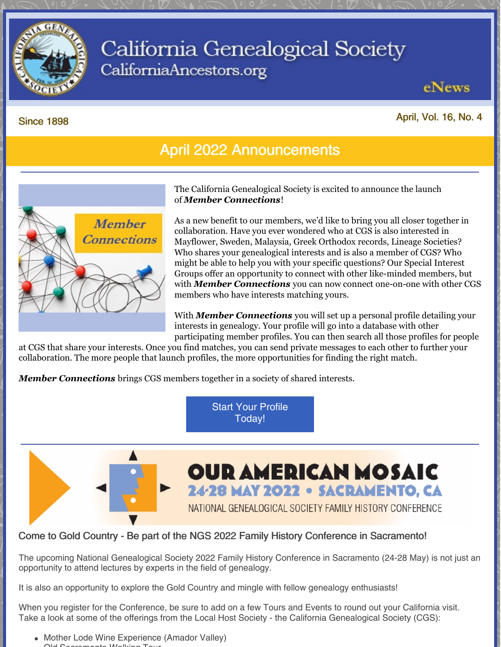

# California Genealogical Society CaliforniaAncestors.org

eNews

April, Vol. 16, No. 4

#### Since 1898

## April 2022 Announcements



The California Genealogical Society is excited to announce the launch of *Member [Connections](https://www.californiaancestors.org/member-connections/)*!

As a new benefit to our members, we'd like to bring you all closer together in collaboration. Have you ever wondered who at CGS is also interested in Mayflower, Sweden, Malaysia, Greek Orthodox records, Lineage Societies? Who shares your genealogical interests and is also a member of CGS? Who might be able to help you with your specific questions? Our Special Interest Groups offer an opportunity to connect with other like-minded members, but with *Member [Connections](https://www.californiaancestors.org/member-connections/)* you can now connect one-on-one with other CGS members who have interests matching yours.

With *Member [Connections](https://www.californiaancestors.org/member-connections/)* you will set up a personal profile detailing your interests in genealogy. Your profile will go into a database with other participating member profiles. You can then search all those profiles for people

at CGS that share your interests. Once you find matches, you can send private messages to each other to further your collaboration. The more people that launch profiles, the more opportunities for finding the right match.

*Member [Connections](https://www.californiaancestors.org/member-connections/)* brings CGS members together in a society of shared interests.

Start Your [Profile](https://www.californiaancestors.org/member-connections/) Today!

**OUR AMERICAN MOSAIC** 24-28 MAY 2022 . SACRAMENTO, CA NATIONAL GENEALOGICAL SOCIETY FAMILY HISTORY CONFERENCE

## Come to Gold Country - Be part of the NGS 2022 Family History Conference in Sacramento!

The upcoming National Genealogical Society 2022 Family History Conference in Sacramento (24-28 May) is not just an opportunity to attend lectures by experts in the field of genealogy.

It is also an opportunity to explore the Gold Country and mingle with fellow genealogy enthusiasts!

When you register for the Conference, be sure to add on a few Tours and Events to round out your California visit. Take a look at some of the offerings from the Local Host Society - the California Genealogical Society (CGS):

• Mother Lode Wine Experience (Amador Valley) Old Sacramento Walking Tour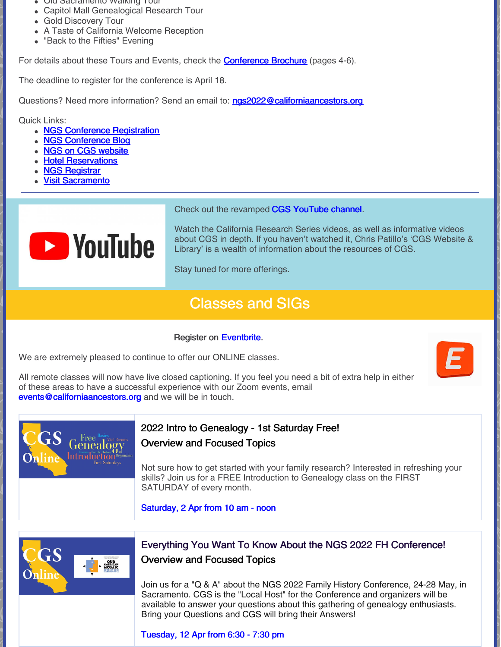- Old Sacramento Walking Tour
- Capitol Mall Genealogical Research Tour
- Gold Discovery Tour
- A Taste of California Welcome Reception
- "Back to the Fifties" Evening

For details about these Tours and Events, check the **[Conference](https://conference.ngsgenealogy.org/wp-content/uploads/pdf/NGS-2022-ConfRegBroch-01102022-Final.pdf) Brochure** (pages 4-6).

The deadline to register for the conference is April 18.

Questions? Need more information? Send an email to: [ngs2022@californiaancestors.org](mailto:ngs2022@californiaancestors.org)

Quick Links:

- NGS Conference [Registration](https://conference.ngsgenealogy.org/)
- NGS [Conference](https://conference.ngsgenealogy.org/category/2022-sacramento/) Blog
- NGS on CGS [website](https://www.californiaancestors.org/ngs-2022-family-history-conference/)
- **Hotel [Reservations](https://conference.ngsgenealogy.org/ngs-2022-conference-hotels/)**
- NGS [Registrar](mailto:registrar@ngsgenealogy.org)
- Visit [Sacramento](https://www.visitsacramento.com/?&utm_source=reachlocal&utm_medium=sem&utm_campaign=sacramentocvb&utm_actcampaign=67018&scid=3325897&kw=943183:19459&pub_cr_id=535149501823&device=c&network=g&targetid=kwd-1123023560&loc_interest_ms=&loc_physical_ms=9031957&tc=CjwKCAjw8sCRBhA6EiwA6_IF4eWK74iw-djpFUsU_lOtZ-zhaUePNO1aAEYpPXtAXcZrXaxnZWe39BoCmwAQAvD_BwE&rl_key=39de5daaf8c66ee9bf7dc4933957ef56)



Check out the revamped CGS [YouTube](https://www.youtube.com/user/CAancestors) channel.

Watch the California Research Series videos, as well as informative videos about CGS in depth. If you haven't watched it, Chris Patillo's 'CGS Website & Library' is a wealth of information about the resources of CGS.

Stay tuned for more offerings.

## Classes and SIGs

### Register on [Eventbrite](https://www.eventbrite.com/o/california-genealogical-society-amp-library-5537240243).

We are extremely pleased to continue to offer our ONLINE classes.

All remote classes will now have live closed captioning. If you feel you need a bit of extra help in either of these areas to have a successful experience with our Zoom events, email [events@californiaancestors.org](mailto:events@californiaancestors.org) and we will be in touch.



## 2022 Intro to Genealogy - 1st Saturday Free!

### Overview and Focused Topics

Not sure how to get started with your family research? Interested in refreshing your skills? Join us for a FREE Introduction to Genealogy class on the FIRST SATURDAY of every month.

[Saturday,](https://www.eventbrite.com/e/2022-intro-to-genealogy-1st-saturday-free-overview-and-focused-topics-registration-212156083557?aff=ebdsoporgprofile) 2 Apr from 10 am - noon



## Everything You Want To Know About the NGS 2022 FH Conference! Overview and Focused Topics

Join us for a "Q & A" about the NGS 2022 Family History Conference, 24-28 May, in Sacramento. CGS is the "Local Host" for the Conference and organizers will be available to answer your questions about this gathering of genealogy enthusiasts. Bring your Questions and CGS will bring their Answers!

[Tuesday,](https://www.eventbrite.com/e/everything-you-want-to-know-about-the-ngs-2022-fh-conference-tickets-310848886387) 12 Apr from 6:30 - 7:30 pm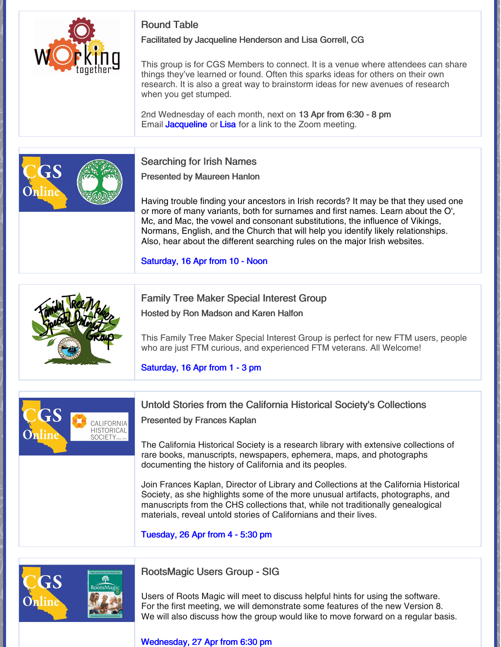

## Round Table

Facilitated by Jacqueline Henderson and Lisa Gorrell, CG

This group is for CGS Members to connect. It is a venue where attendees can share things they've learned or found. Often this sparks ideas for others on their own research. It is also a great way to brainstorm ideas for new avenues of research when you get stumped.

2nd Wednesday of each month, next on 13 Apr from 6:30 - 8 pm Email **[Jacqueline](mailto:jhenderson@californiaancestors.org)** or **[Lisa](mailto:lgorrell@californiaancestors.org)** for a link to the Zoom meeting.



### Searching for Irish Names

Presented by Maureen Hanlon

Having trouble finding your ancestors in Irish records? It may be that they used one or more of many variants, both for surnames and first names. Learn about the O', Mc, and Mac, the vowel and consonant substitutions, the influence of Vikings, Normans, English, and the Church that will help you identify likely relationships. Also, hear about the different searching rules on the major Irish websites.

[Saturday,](https://www.eventbrite.com/e/searching-for-irish-names-registration-229655213927?aff=ebdsoporgprofile) 16 Apr from 10 - Noon

## Family Tree Maker Special Interest Group

Hosted by Ron Madson and Karen Halfon

This Family Tree Maker Special Interest Group is perfect for new FTM users, people who are just FTM curious, and experienced FTM veterans. All Welcome!

[Saturday,](https://www.eventbrite.com/e/family-tree-maker-sig-apr-16-plan-workspace-web-search-workspace-tickets-302254038967?aff=ebdsoporgprofile) 16 Apr from 1 - 3 pm



## Untold Stories from the California Historical Society's Collections

Presented by Frances Kaplan

The California Historical Society is a research library with extensive collections of rare books, manuscripts, newspapers, ephemera, maps, and photographs documenting the history of California and its peoples.

Join Frances Kaplan, Director of Library and Collections at the California Historical Society, as she highlights some of the more unusual artifacts, photographs, and manuscripts from the CHS collections that, while not traditionally genealogical materials, reveal untold stories of Californians and their lives.

[Tuesday,](https://www.eventbrite.com/e/untold-stories-from-the-california-historical-societys-collections-registration-292823040597?aff=ebdsoporgprofile) 26 Apr from 4 - 5:30 pm



## RootsMagic Users Group - SIG

Users of Roots Magic will meet to discuss helpful hints for using the software. For the first meeting, we will demonstrate some features of the new Version 8. We will also discuss how the group would like to move forward on a regular basis.

#### [Wednesday,](https://www.eventbrite.com/e/roots-magic-special-interest-group-registration-292926088817?aff=ebdsoporgprofile) 27 Apr from 6:30 pm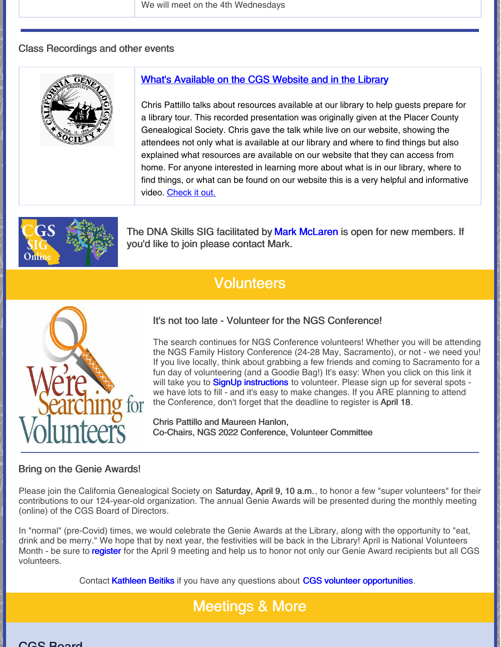We will meet on the 4th Wednesdays

#### Class Recordings and other events



### What's [Available](https://vimeo.com/647623703) on the CGS Website and in the Library

Chris Pattillo talks about resources available at our library to help guests prepare for a library tour. This recorded presentation was originally given at the Placer County Genealogical Society. Chris gave the talk while live on our website, showing the attendees not only what is available at our library and where to find things but also explained what resources are available on our website that they can access from home. For anyone interested in learning more about what is in our library, where to find things, or what can be found on our website this is a very helpful and informative video. [Check](https://vimeo.com/647623703) it out.



The DNA Skills SIG facilitated by Mark [McLaren](mailto:greatscot@earthlink.net) is open for new members. If you'd like to join please contact Mark.

## **Volunteers**



### It's not too late - Volunteer for the NGS Conference!

The search continues for NGS Conference volunteers! Whether you will be attending the NGS Family History Conference (24-28 May, Sacramento), or not - we need you! If you live locally, think about grabbing a few friends and coming to Sacramento for a fun day of volunteering (and a Goodie Bag!) It's easy: When you click on this link it will take you to **SignUp [instructions](https://docs.google.com/document/d/1h4PeQt4oLnjfGetSBZDi462YpgggjJVbEUNb4EuZO68/edit)** to volunteer. Please sign up for several spots we have lots to fill - and it's easy to make changes. If you ARE planning to attend the Conference, don't forget that the deadline to register is April 18.

Chris Pattillo and Maureen Hanlon, Co-Chairs, NGS 2022 Conference, Volunteer Committee

#### Bring on the Genie Awards!

Please join the California Genealogical Society on Saturday, April 9, 10 a.m., to honor a few "super volunteers" for their contributions to our 124-year-old organization. The annual Genie Awards will be presented during the monthly meeting (online) of the CGS Board of Directors.

In "normal" (pre-Covid) times, we would celebrate the Genie Awards at the Library, along with the opportunity to "eat, drink and be merry." We hope that by next year, the festivities will be back in the Library! April is National Volunteers Month - be sure to [register](https://www.eventbrite.com/e/online-cgs-monthly-board-meeting-registration-241994621427?aff=ebdsoporgprofile) for the April 9 meeting and help us to honor not only our Genie Award recipients but all CGS volunteers.

Contact [Kathleen](mailto:kbeitiks@californiaancestors.org) Beitiks if you have any questions about CGS volunteer [opportunities](https://www.californiaancestors.org/volunteer-opportunities/).

## Meetings & More

re da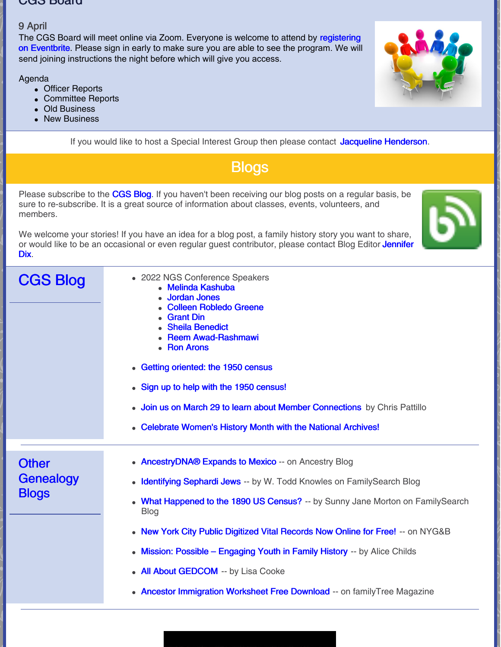#### CGS Board

### 9 April

The CGS Board will meet online via Zoom. Everyone is welcome to attend by [registering](https://tinyurl.com/48ysezf6) on Eventbrite. Please sign in early to make sure you are able to see the program. We will send joining instructions the night before which will give you access.

Agenda

- Officer Reports
- Committee Reports
- Old Business
- New Business

If you would like to host a Special Interest Group then please contact Jacqueline [Henderson](mailto:jhenderson@californiaancestors.org).

**Blogs** 

Please subscribe to the [CGS](http://blog.californiaancestors.org/) Blog. If you haven't been receiving our blog posts on a regular basis, be sure to re-subscribe. It is a great source of information about classes, events, volunteers, and members.

We welcome your stories! If you have an idea for a blog post, a family history story you want to share, or would like to be an occasional or even regular guest [contributor,](mailto:jdix@californiaancestors.org) please contact Blog Editor Jennifer Dix.

CGS Blog 2022 NGS Conference Speakers Melinda [Kashuba](https://www.californiaancestors.org/2022-ngs-conference-speaker-melinda-kashuba/) [Jordan](https://www.californiaancestors.org/2022-ngs-conference-speaker-jordan-jones/) Jones Colleen [Robledo](https://www.californiaancestors.org/2022-ngs-conference-speaker/) Greene [Grant](https://www.californiaancestors.org/25435-2/) Din Sheila [Benedict](https://www.californiaancestors.org/ngs-conference-2022-speaker-sheila-benedict/) • Reem [Awad-Rashmawi](https://www.californiaancestors.org/2022-ngs-conference-speaker-reem-awad-rashmawi/) • Ron [Arons](https://www.californiaancestors.org/ngs-conference-2022-speaker-ron-arons/) Getting [oriented:](https://www.californiaancestors.org/getting-oriented-the-1950-census/) the 1950 census • Sign up to help with the 1950 [census!](https://www.californiaancestors.org/sign-up-to-help-with-the-1950-census/) **Join us on March 29 to learn about Member [Connections](https://www.californiaancestors.org/member-connections-demo/)** by Chris Pattillo [Celebrate](https://www.californiaancestors.org/celebrate-womens-history-month-with-the-national-archives/) Women's History Month with the National Archives! **Other Genealogy Blogs** • Ancestry DNA® Expands to Mexico -- on Ancestry Blog [Identifying](https://www.familysearch.org/en/blog/identifying-sephardi-jews) Sephardi Jews -- by W. Todd Knowles on FamilySearch Blog What [Happened](https://www.familysearch.org/en/blog/what-happened-to-the-1890-us-census) to the 1890 US Census? -- by Sunny Jane Morton on FamilySearch Blog • New York City Public [Digitized](https://www.newyorkfamilyhistory.org/blog/new-york-city-public-digitized-vital-records-now-online-free) Vital Records Now Online for Free! -- on NYG&B Mission: Possible – [Engaging](https://familylocket.com/mission-possible-engaging-youth-in-family-history/) Youth in Family History -- by Alice Childs All About [GEDCOM](https://lisalouisecooke.com/2022/03/14/gedcom/) -- by Lisa Cooke • Ancestor [Immigration](https://www.familytreemagazine.com/freebie/ancestor-immigration-worksheet/) Worksheet Free Download -- on familyTree Magazine

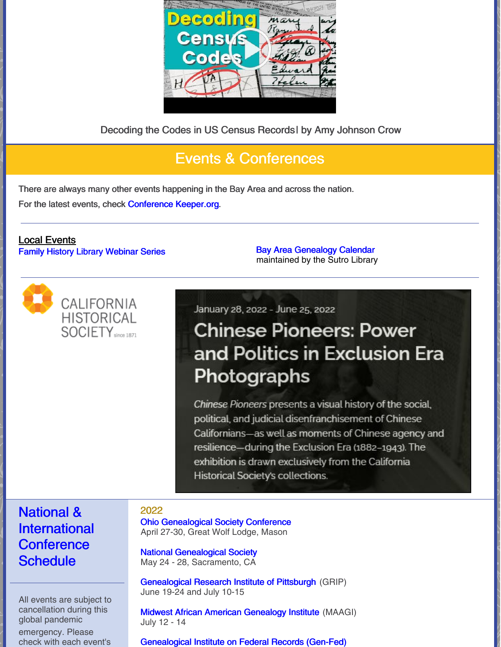

Decoding the Codes in US Census Records| by Amy Johnson Crow

## Events & Conferences

There are always many other events happening in the Bay Area and across the nation. For the latest events, check [Conference](https://conferencekeeper.org/) Keeper.org.

### Local Events Family History Library [Webinar](https://www.familysearch.org/wiki/en/Family_History_Library_Classes_and_Webinars) Series **Bay Area [Genealogy](https://www.library.ca.gov/sutro/genealogy/calendar/) Calendar**



maintained by the Sutro Library

January 28, 2022 - June 25, 2022

# **Chinese Pioneers: Power** and Politics in Exclusion Era Photographs

Chinese Pioneers presents a visual history of the social, political, and judicial disenfranchisement of Chinese Californians-as well as moments of Chinese agency and resilience-during the Exclusion Era (1882-1943). The exhibition is drawn exclusively from the California Historical Society's collections.

## National & International **Conference Schedule**

All events are subject to cancellation during this global pandemic

emergency. Please check with each event's

### 2022

Ohio [Genealogical](https://www.ogsconference.org/) Society Conference April 27-30, Great Wolf Lodge, Mason

National [Genealogical](https://conference.ngsgenealogy.org/ngs-2022-live/) Society May 24 - 28, Sacramento, CA

[Genealogical](https://www.gripitt.org/courses/) Research Institute of Pittsburgh (GRIP) June 19-24 and July 10-15

Midwest African American [Genealogy](https://maagi.regfox.com/2022-maagi) Institute (MAAGI) July 12 - 14

[Genealogical](https://www.gen-fed.org/gen-fed-2022-registration/) Institute on Federal Records (Gen-Fed)